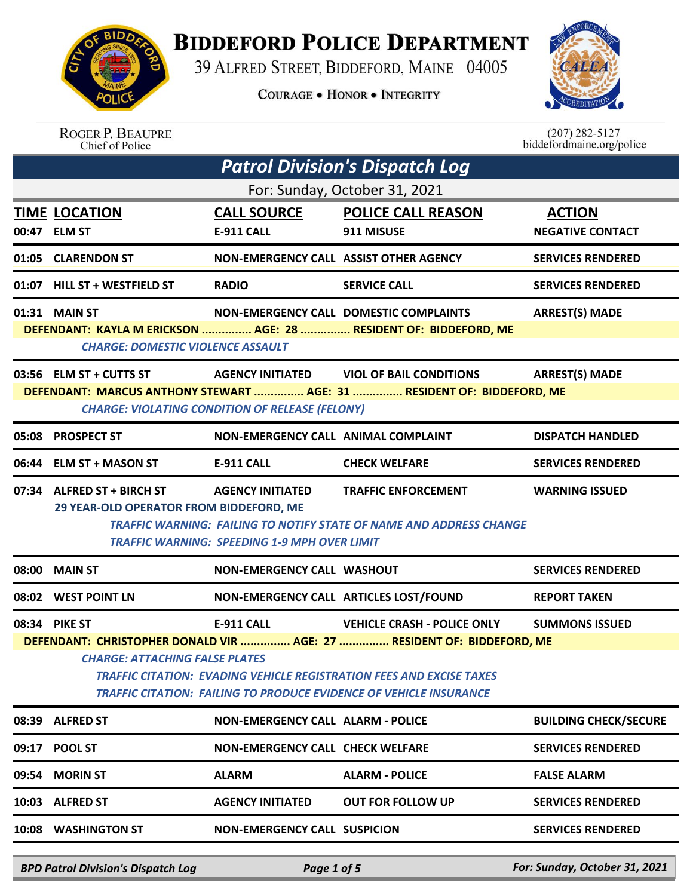

## **BIDDEFORD POLICE DEPARTMENT**

39 ALFRED STREET, BIDDEFORD, MAINE 04005

**COURAGE . HONOR . INTEGRITY** 



ROGER P. BEAUPRE<br>Chief of Police

 $(207)$  282-5127<br>biddefordmaine.org/police

|       |                                                                       |                                                        | <b>Patrol Division's Dispatch Log</b>                                       |                              |
|-------|-----------------------------------------------------------------------|--------------------------------------------------------|-----------------------------------------------------------------------------|------------------------------|
|       |                                                                       |                                                        | For: Sunday, October 31, 2021                                               |                              |
|       | <b>TIME LOCATION</b>                                                  | <b>CALL SOURCE</b>                                     | <b>POLICE CALL REASON</b>                                                   | <b>ACTION</b>                |
| 00:47 | <b>ELM ST</b>                                                         | <b>E-911 CALL</b>                                      | 911 MISUSE                                                                  | <b>NEGATIVE CONTACT</b>      |
|       | 01:05 CLARENDON ST                                                    |                                                        | NON-EMERGENCY CALL ASSIST OTHER AGENCY                                      | <b>SERVICES RENDERED</b>     |
|       | 01:07 HILL ST + WESTFIELD ST                                          | <b>RADIO</b>                                           | <b>SERVICE CALL</b>                                                         | <b>SERVICES RENDERED</b>     |
|       | 01:31 MAIN ST                                                         |                                                        | NON-EMERGENCY CALL DOMESTIC COMPLAINTS                                      | <b>ARREST(S) MADE</b>        |
|       |                                                                       |                                                        | DEFENDANT: KAYLA M ERICKSON  AGE: 28  RESIDENT OF: BIDDEFORD, ME            |                              |
|       | <b>CHARGE: DOMESTIC VIOLENCE ASSAULT</b>                              |                                                        |                                                                             |                              |
|       | 03:56 ELM ST + CUTTS ST                                               | <b>AGENCY INITIATED</b>                                | <b>VIOL OF BAIL CONDITIONS</b>                                              | <b>ARREST(S) MADE</b>        |
|       |                                                                       |                                                        | DEFENDANT: MARCUS ANTHONY STEWART  AGE: 31  RESIDENT OF: BIDDEFORD, ME      |                              |
|       |                                                                       | <b>CHARGE: VIOLATING CONDITION OF RELEASE (FELONY)</b> |                                                                             |                              |
|       | 05:08 PROSPECT ST                                                     | NON-EMERGENCY CALL ANIMAL COMPLAINT                    |                                                                             | <b>DISPATCH HANDLED</b>      |
|       | 06:44 ELM ST + MASON ST                                               | <b>E-911 CALL</b>                                      | <b>CHECK WELFARE</b>                                                        | <b>SERVICES RENDERED</b>     |
|       | 07:34 ALFRED ST + BIRCH ST<br>29 YEAR-OLD OPERATOR FROM BIDDEFORD, ME | <b>AGENCY INITIATED</b>                                | <b>TRAFFIC ENFORCEMENT</b>                                                  | <b>WARNING ISSUED</b>        |
|       |                                                                       |                                                        | <b>TRAFFIC WARNING: FAILING TO NOTIFY STATE OF NAME AND ADDRESS CHANGE</b>  |                              |
|       |                                                                       | TRAFFIC WARNING: SPEEDING 1-9 MPH OVER LIMIT           |                                                                             |                              |
| 08:00 | <b>MAIN ST</b>                                                        | NON-EMERGENCY CALL WASHOUT                             |                                                                             | <b>SERVICES RENDERED</b>     |
|       | 08:02 WEST POINT LN                                                   |                                                        | NON-EMERGENCY CALL ARTICLES LOST/FOUND                                      | <b>REPORT TAKEN</b>          |
|       | 08:34 PIKE ST                                                         | <b>E-911 CALL</b>                                      | <b>VEHICLE CRASH - POLICE ONLY</b>                                          | <b>SUMMONS ISSUED</b>        |
|       |                                                                       |                                                        | DEFENDANT: CHRISTOPHER DONALD VIR  AGE: 27  RESIDENT OF: BIDDEFORD, ME      |                              |
|       | <b>CHARGE: ATTACHING FALSE PLATES</b>                                 |                                                        |                                                                             |                              |
|       |                                                                       |                                                        | <b>TRAFFIC CITATION: EVADING VEHICLE REGISTRATION FEES AND EXCISE TAXES</b> |                              |
|       |                                                                       |                                                        | <b>TRAFFIC CITATION: FAILING TO PRODUCE EVIDENCE OF VEHICLE INSURANCE</b>   |                              |
|       | 08:39 ALFRED ST                                                       | <b>NON-EMERGENCY CALL ALARM - POLICE</b>               |                                                                             | <b>BUILDING CHECK/SECURE</b> |
|       | 09:17 POOL ST                                                         | <b>NON-EMERGENCY CALL CHECK WELFARE</b>                |                                                                             | <b>SERVICES RENDERED</b>     |
|       | 09:54 MORIN ST                                                        | <b>ALARM</b>                                           | <b>ALARM - POLICE</b>                                                       | <b>FALSE ALARM</b>           |
|       | 10:03 ALFRED ST                                                       | <b>AGENCY INITIATED</b>                                | <b>OUT FOR FOLLOW UP</b>                                                    | <b>SERVICES RENDERED</b>     |
|       | 10:08 WASHINGTON ST                                                   | <b>NON-EMERGENCY CALL SUSPICION</b>                    |                                                                             | <b>SERVICES RENDERED</b>     |
|       |                                                                       |                                                        |                                                                             |                              |

*BPD Patrol Division's Dispatch Log Page 1 of 5 For: Sunday, October 31, 2021*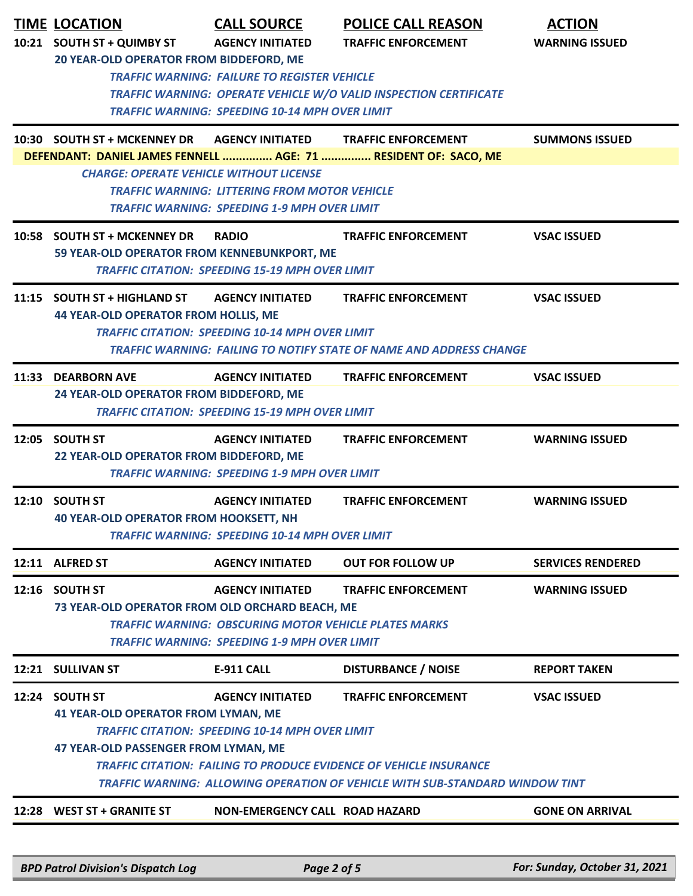| <b>TIME LOCATION</b><br>10:21 SOUTH ST + QUIMBY ST<br>20 YEAR-OLD OPERATOR FROM BIDDEFORD, ME        | <b>CALL SOURCE</b><br><b>AGENCY INITIATED</b><br><b>TRAFFIC WARNING: FAILURE TO REGISTER VEHICLE</b><br><b>TRAFFIC WARNING: SPEEDING 10-14 MPH OVER LIMIT</b> | <b>POLICE CALL REASON</b><br><b>TRAFFIC ENFORCEMENT</b><br><b>TRAFFIC WARNING: OPERATE VEHICLE W/O VALID INSPECTION CERTIFICATE</b>                                                            | <b>ACTION</b><br><b>WARNING ISSUED</b> |
|------------------------------------------------------------------------------------------------------|---------------------------------------------------------------------------------------------------------------------------------------------------------------|------------------------------------------------------------------------------------------------------------------------------------------------------------------------------------------------|----------------------------------------|
| 10:30 SOUTH ST + MCKENNEY DR<br><b>CHARGE: OPERATE VEHICLE WITHOUT LICENSE</b>                       | <b>AGENCY INITIATED</b>                                                                                                                                       | <b>TRAFFIC ENFORCEMENT</b><br>DEFENDANT: DANIEL JAMES FENNELL  AGE: 71  RESIDENT OF: SACO, ME                                                                                                  | <b>SUMMONS ISSUED</b>                  |
|                                                                                                      | <b>TRAFFIC WARNING: LITTERING FROM MOTOR VEHICLE</b><br><b>TRAFFIC WARNING: SPEEDING 1-9 MPH OVER LIMIT</b>                                                   |                                                                                                                                                                                                |                                        |
| 10:58 SOUTH ST + MCKENNEY DR<br>59 YEAR-OLD OPERATOR FROM KENNEBUNKPORT, ME                          | <b>RADIO</b><br><b>TRAFFIC CITATION: SPEEDING 15-19 MPH OVER LIMIT</b>                                                                                        | <b>TRAFFIC ENFORCEMENT</b>                                                                                                                                                                     | <b>VSAC ISSUED</b>                     |
| 11:15 SOUTH ST + HIGHLAND ST<br><b>44 YEAR-OLD OPERATOR FROM HOLLIS, ME</b>                          | <b>AGENCY INITIATED</b><br><b>TRAFFIC CITATION: SPEEDING 10-14 MPH OVER LIMIT</b>                                                                             | <b>TRAFFIC ENFORCEMENT</b><br>TRAFFIC WARNING: FAILING TO NOTIFY STATE OF NAME AND ADDRESS CHANGE                                                                                              | <b>VSAC ISSUED</b>                     |
| 11:33 DEARBORN AVE<br>24 YEAR-OLD OPERATOR FROM BIDDEFORD, ME                                        | <b>AGENCY INITIATED</b><br><b>TRAFFIC CITATION: SPEEDING 15-19 MPH OVER LIMIT</b>                                                                             | <b>TRAFFIC ENFORCEMENT</b>                                                                                                                                                                     | <b>VSAC ISSUED</b>                     |
| 12:05 SOUTH ST<br>22 YEAR-OLD OPERATOR FROM BIDDEFORD, ME                                            | <b>AGENCY INITIATED</b><br><b>TRAFFIC WARNING: SPEEDING 1-9 MPH OVER LIMIT</b>                                                                                | <b>TRAFFIC ENFORCEMENT</b>                                                                                                                                                                     | <b>WARNING ISSUED</b>                  |
| 12:10 SOUTH ST<br><b>40 YEAR-OLD OPERATOR FROM HOOKSETT, NH</b>                                      | <b>AGENCY INITIATED</b><br><b>TRAFFIC WARNING: SPEEDING 10-14 MPH OVER LIMIT</b>                                                                              | <b>TRAFFIC ENFORCEMENT</b>                                                                                                                                                                     | <b>WARNING ISSUED</b>                  |
| 12:11 ALFRED ST                                                                                      | <b>AGENCY INITIATED</b>                                                                                                                                       | <b>OUT FOR FOLLOW UP</b>                                                                                                                                                                       | <b>SERVICES RENDERED</b>               |
| 12:16 SOUTH ST<br>73 YEAR-OLD OPERATOR FROM OLD ORCHARD BEACH, ME                                    | <b>AGENCY INITIATED</b><br><b>TRAFFIC WARNING: OBSCURING MOTOR VEHICLE PLATES MARKS</b><br><b>TRAFFIC WARNING: SPEEDING 1-9 MPH OVER LIMIT</b>                | <b>TRAFFIC ENFORCEMENT</b>                                                                                                                                                                     | <b>WARNING ISSUED</b>                  |
| 12:21 SULLIVAN ST                                                                                    | <b>E-911 CALL</b>                                                                                                                                             | <b>DISTURBANCE / NOISE</b>                                                                                                                                                                     | <b>REPORT TAKEN</b>                    |
| 12:24 SOUTH ST<br><b>41 YEAR-OLD OPERATOR FROM LYMAN, ME</b><br>47 YEAR-OLD PASSENGER FROM LYMAN, ME | <b>AGENCY INITIATED</b><br><b>TRAFFIC CITATION: SPEEDING 10-14 MPH OVER LIMIT</b>                                                                             | <b>TRAFFIC ENFORCEMENT</b><br><b>TRAFFIC CITATION: FAILING TO PRODUCE EVIDENCE OF VEHICLE INSURANCE</b><br><b>TRAFFIC WARNING: ALLOWING OPERATION OF VEHICLE WITH SUB-STANDARD WINDOW TINT</b> | <b>VSAC ISSUED</b>                     |
| 12:28 WEST ST + GRANITE ST                                                                           | NON-EMERGENCY CALL ROAD HAZARD                                                                                                                                |                                                                                                                                                                                                | <b>GONE ON ARRIVAL</b>                 |
| <b>BPD Patrol Division's Dispatch Log</b>                                                            |                                                                                                                                                               | Page 2 of 5                                                                                                                                                                                    | For: Sunday, October 31, 2021          |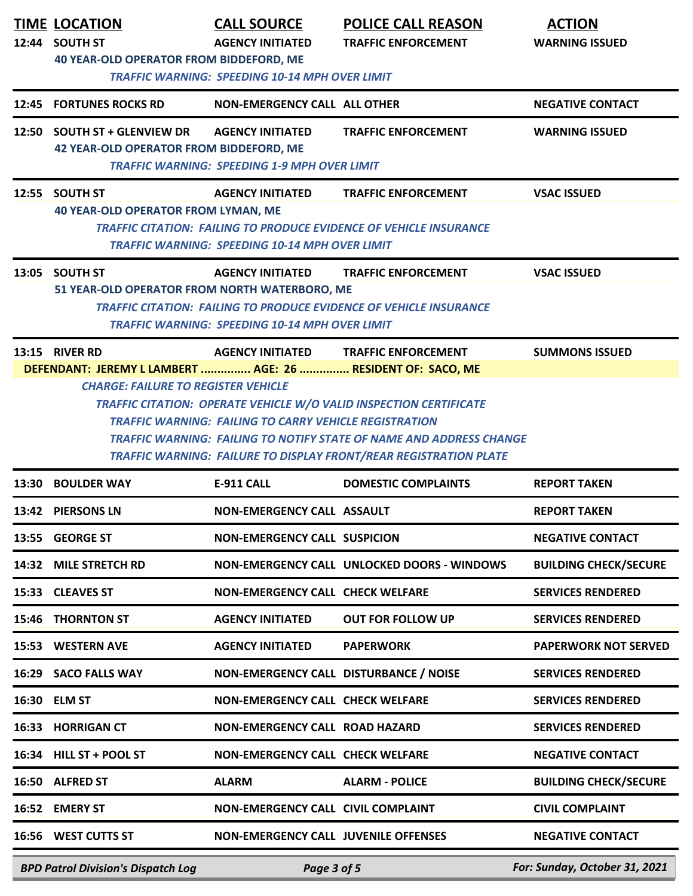|       | <b>TIME LOCATION</b><br>12:44 SOUTH ST                                         | <b>CALL SOURCE</b><br><b>AGENCY INITIATED</b>                                    | <b>POLICE CALL REASON</b><br><b>TRAFFIC ENFORCEMENT</b>                                                                                                                                                               | <b>ACTION</b><br><b>WARNING ISSUED</b> |
|-------|--------------------------------------------------------------------------------|----------------------------------------------------------------------------------|-----------------------------------------------------------------------------------------------------------------------------------------------------------------------------------------------------------------------|----------------------------------------|
|       | <b>40 YEAR-OLD OPERATOR FROM BIDDEFORD, ME</b>                                 | <b>TRAFFIC WARNING: SPEEDING 10-14 MPH OVER LIMIT</b>                            |                                                                                                                                                                                                                       |                                        |
|       | <b>12:45 FORTUNES ROCKS RD</b>                                                 | NON-EMERGENCY CALL ALL OTHER                                                     |                                                                                                                                                                                                                       | <b>NEGATIVE CONTACT</b>                |
|       | 12:50 SOUTH ST + GLENVIEW DR<br><b>42 YEAR-OLD OPERATOR FROM BIDDEFORD, ME</b> | <b>AGENCY INITIATED</b><br><b>TRAFFIC WARNING: SPEEDING 1-9 MPH OVER LIMIT</b>   | <b>TRAFFIC ENFORCEMENT</b>                                                                                                                                                                                            | <b>WARNING ISSUED</b>                  |
|       | 12:55 SOUTH ST<br><b>40 YEAR-OLD OPERATOR FROM LYMAN, ME</b>                   | <b>AGENCY INITIATED</b><br><b>TRAFFIC WARNING: SPEEDING 10-14 MPH OVER LIMIT</b> | <b>TRAFFIC ENFORCEMENT</b><br>TRAFFIC CITATION: FAILING TO PRODUCE EVIDENCE OF VEHICLE INSURANCE                                                                                                                      | <b>VSAC ISSUED</b>                     |
|       | 13:05 SOUTH ST<br>51 YEAR-OLD OPERATOR FROM NORTH WATERBORO, ME                | <b>AGENCY INITIATED</b><br><b>TRAFFIC WARNING: SPEEDING 10-14 MPH OVER LIMIT</b> | <b>TRAFFIC ENFORCEMENT</b><br><b>TRAFFIC CITATION: FAILING TO PRODUCE EVIDENCE OF VEHICLE INSURANCE</b>                                                                                                               | <b>VSAC ISSUED</b>                     |
|       | 13:15 RIVER RD<br>DEFENDANT: JEREMY L LAMBERT  AGE: 26  RESIDENT OF: SACO, ME  | <b>AGENCY INITIATED</b>                                                          | <b>TRAFFIC ENFORCEMENT</b>                                                                                                                                                                                            | <b>SUMMONS ISSUED</b>                  |
|       |                                                                                | <b>TRAFFIC WARNING: FAILING TO CARRY VEHICLE REGISTRATION</b>                    | <b>TRAFFIC CITATION: OPERATE VEHICLE W/O VALID INSPECTION CERTIFICATE</b><br>TRAFFIC WARNING: FAILING TO NOTIFY STATE OF NAME AND ADDRESS CHANGE<br>TRAFFIC WARNING: FAILURE TO DISPLAY FRONT/REAR REGISTRATION PLATE |                                        |
| 13:30 | <b>BOULDER WAY</b>                                                             | <b>E-911 CALL</b>                                                                | <b>DOMESTIC COMPLAINTS</b>                                                                                                                                                                                            | <b>REPORT TAKEN</b>                    |
|       | 13:42 PIERSONS LN                                                              | NON-EMERGENCY CALL ASSAULT                                                       |                                                                                                                                                                                                                       | <b>REPORT TAKEN</b>                    |
|       | 13:55 GEORGE ST                                                                | <b>NON-EMERGENCY CALL SUSPICION</b>                                              |                                                                                                                                                                                                                       | <b>NEGATIVE CONTACT</b>                |
| 14:32 | <b>MILE STRETCH RD</b>                                                         |                                                                                  | NON-EMERGENCY CALL UNLOCKED DOORS - WINDOWS                                                                                                                                                                           | <b>BUILDING CHECK/SECURE</b>           |
|       | 15:33 CLEAVES ST                                                               | <b>NON-EMERGENCY CALL CHECK WELFARE</b>                                          |                                                                                                                                                                                                                       | <b>SERVICES RENDERED</b>               |
|       | 15:46 THORNTON ST                                                              | <b>AGENCY INITIATED</b>                                                          | <b>OUT FOR FOLLOW UP</b>                                                                                                                                                                                              | <b>SERVICES RENDERED</b>               |
|       | 15:53 WESTERN AVE                                                              | <b>AGENCY INITIATED</b>                                                          | <b>PAPERWORK</b>                                                                                                                                                                                                      | <b>PAPERWORK NOT SERVED</b>            |
|       | 16:29 SACO FALLS WAY                                                           | NON-EMERGENCY CALL DISTURBANCE / NOISE                                           |                                                                                                                                                                                                                       | <b>SERVICES RENDERED</b>               |
|       | 16:30 ELM ST                                                                   | NON-EMERGENCY CALL CHECK WELFARE                                                 |                                                                                                                                                                                                                       | <b>SERVICES RENDERED</b>               |
| 16:33 | <b>HORRIGAN CT</b>                                                             | NON-EMERGENCY CALL ROAD HAZARD                                                   |                                                                                                                                                                                                                       | <b>SERVICES RENDERED</b>               |
|       | 16:34 HILL ST + POOL ST                                                        | <b>NON-EMERGENCY CALL CHECK WELFARE</b>                                          |                                                                                                                                                                                                                       | <b>NEGATIVE CONTACT</b>                |
|       | 16:50 ALFRED ST                                                                | <b>ALARM</b>                                                                     | <b>ALARM - POLICE</b>                                                                                                                                                                                                 | <b>BUILDING CHECK/SECURE</b>           |
|       | 16:52 EMERY ST                                                                 | NON-EMERGENCY CALL CIVIL COMPLAINT                                               |                                                                                                                                                                                                                       | <b>CIVIL COMPLAINT</b>                 |
|       | 16:56 WEST CUTTS ST                                                            | NON-EMERGENCY CALL JUVENILE OFFENSES                                             |                                                                                                                                                                                                                       | <b>NEGATIVE CONTACT</b>                |
|       | <b>BPD Patrol Division's Dispatch Log</b>                                      | Page 3 of 5                                                                      |                                                                                                                                                                                                                       | For: Sunday, October 31, 2021          |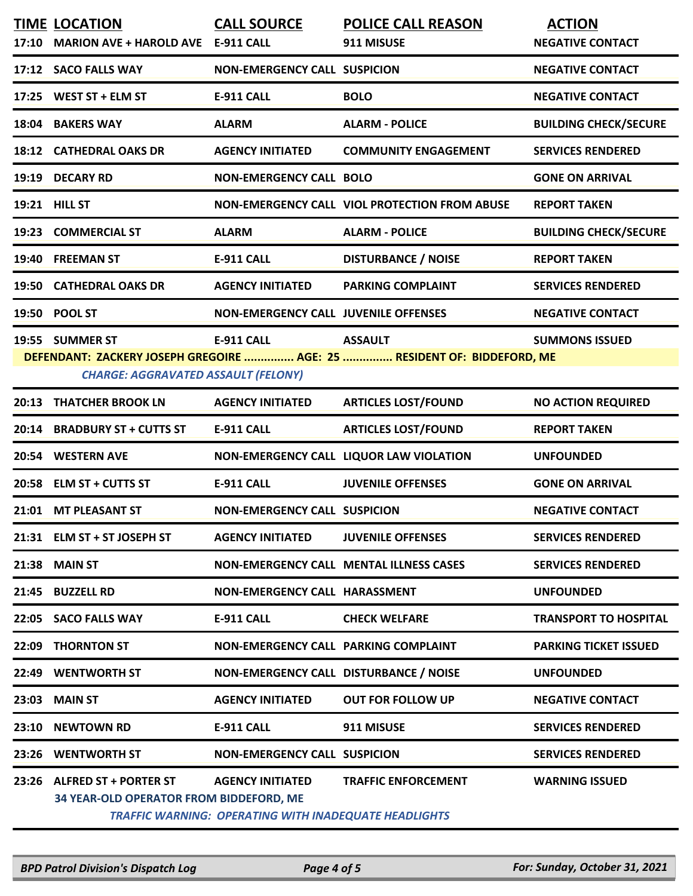| 17:10 | <b>TIME LOCATION</b><br>MARION AVE + HAROLD AVE E-911 CALL             | <b>CALL SOURCE</b>                                                                      | <b>POLICE CALL REASON</b><br>911 MISUSE                                                   | <b>ACTION</b><br><b>NEGATIVE CONTACT</b> |
|-------|------------------------------------------------------------------------|-----------------------------------------------------------------------------------------|-------------------------------------------------------------------------------------------|------------------------------------------|
|       | 17:12 SACO FALLS WAY                                                   | <b>NON-EMERGENCY CALL SUSPICION</b>                                                     |                                                                                           | <b>NEGATIVE CONTACT</b>                  |
|       | 17:25 WEST ST + ELM ST                                                 | <b>E-911 CALL</b>                                                                       | <b>BOLO</b>                                                                               | <b>NEGATIVE CONTACT</b>                  |
|       | 18:04 BAKERS WAY                                                       | <b>ALARM</b>                                                                            | <b>ALARM - POLICE</b>                                                                     | <b>BUILDING CHECK/SECURE</b>             |
|       | <b>18:12 CATHEDRAL OAKS DR</b>                                         | <b>AGENCY INITIATED</b>                                                                 | <b>COMMUNITY ENGAGEMENT</b>                                                               | <b>SERVICES RENDERED</b>                 |
| 19:19 | <b>DECARY RD</b>                                                       | <b>NON-EMERGENCY CALL BOLO</b>                                                          |                                                                                           | <b>GONE ON ARRIVAL</b>                   |
|       | 19:21 HILL ST                                                          |                                                                                         | <b>NON-EMERGENCY CALL VIOL PROTECTION FROM ABUSE</b>                                      | <b>REPORT TAKEN</b>                      |
| 19:23 | <b>COMMERCIAL ST</b>                                                   | <b>ALARM</b>                                                                            | <b>ALARM - POLICE</b>                                                                     | <b>BUILDING CHECK/SECURE</b>             |
| 19:40 | <b>FREEMAN ST</b>                                                      | <b>E-911 CALL</b>                                                                       | <b>DISTURBANCE / NOISE</b>                                                                | <b>REPORT TAKEN</b>                      |
|       | <b>19:50 CATHEDRAL OAKS DR</b>                                         | <b>AGENCY INITIATED</b>                                                                 | <b>PARKING COMPLAINT</b>                                                                  | <b>SERVICES RENDERED</b>                 |
|       | 19:50 POOL ST                                                          | <b>NON-EMERGENCY CALL JUVENILE OFFENSES</b>                                             |                                                                                           | <b>NEGATIVE CONTACT</b>                  |
|       | 19:55 SUMMER ST<br><b>CHARGE: AGGRAVATED ASSAULT (FELONY)</b>          | E-911 CALL                                                                              | <b>ASSAULT</b><br>DEFENDANT: ZACKERY JOSEPH GREGOIRE  AGE: 25  RESIDENT OF: BIDDEFORD, ME | <b>SUMMONS ISSUED</b>                    |
| 20:13 | <b>THATCHER BROOK LN</b>                                               | <b>AGENCY INITIATED</b>                                                                 | <b>ARTICLES LOST/FOUND</b>                                                                | <b>NO ACTION REQUIRED</b>                |
| 20:14 | <b>BRADBURY ST + CUTTS ST</b>                                          | <b>E-911 CALL</b>                                                                       | <b>ARTICLES LOST/FOUND</b>                                                                | <b>REPORT TAKEN</b>                      |
| 20:54 | <b>WESTERN AVE</b>                                                     |                                                                                         | NON-EMERGENCY CALL LIQUOR LAW VIOLATION                                                   | <b>UNFOUNDED</b>                         |
|       | 20:58 ELM ST + CUTTS ST                                                | <b>E-911 CALL</b>                                                                       | <b>JUVENILE OFFENSES</b>                                                                  | <b>GONE ON ARRIVAL</b>                   |
|       | 21:01 MT PLEASANT ST                                                   | <b>NON-EMERGENCY CALL SUSPICION</b>                                                     |                                                                                           | <b>NEGATIVE CONTACT</b>                  |
|       | 21:31 ELM ST + ST JOSEPH ST                                            | <b>AGENCY INITIATED</b>                                                                 | <b>JUVENILE OFFENSES</b>                                                                  | <b>SERVICES RENDERED</b>                 |
|       | 21:38 MAIN ST                                                          |                                                                                         | <b>NON-EMERGENCY CALL MENTAL ILLNESS CASES</b>                                            | <b>SERVICES RENDERED</b>                 |
|       | 21:45 BUZZELL RD                                                       | <b>NON-EMERGENCY CALL HARASSMENT</b>                                                    |                                                                                           | <b>UNFOUNDED</b>                         |
|       | 22:05 SACO FALLS WAY                                                   | <b>E-911 CALL</b>                                                                       | <b>CHECK WELFARE</b>                                                                      | <b>TRANSPORT TO HOSPITAL</b>             |
|       | 22:09 THORNTON ST                                                      | <b>NON-EMERGENCY CALL PARKING COMPLAINT</b>                                             |                                                                                           | <b>PARKING TICKET ISSUED</b>             |
|       | 22:49 WENTWORTH ST                                                     | NON-EMERGENCY CALL DISTURBANCE / NOISE                                                  |                                                                                           | <b>UNFOUNDED</b>                         |
| 23:03 | <b>MAIN ST</b>                                                         | <b>AGENCY INITIATED</b>                                                                 | <b>OUT FOR FOLLOW UP</b>                                                                  | <b>NEGATIVE CONTACT</b>                  |
| 23:10 | <b>NEWTOWN RD</b>                                                      | <b>E-911 CALL</b>                                                                       | 911 MISUSE                                                                                | <b>SERVICES RENDERED</b>                 |
| 23:26 | <b>WENTWORTH ST</b>                                                    | <b>NON-EMERGENCY CALL SUSPICION</b>                                                     |                                                                                           | <b>SERVICES RENDERED</b>                 |
|       | 23:26 ALFRED ST + PORTER ST<br>34 YEAR-OLD OPERATOR FROM BIDDEFORD, ME | <b>AGENCY INITIATED</b><br><b>TRAFFIC WARNING: OPERATING WITH INADEQUATE HEADLIGHTS</b> | <b>TRAFFIC ENFORCEMENT</b>                                                                | <b>WARNING ISSUED</b>                    |

*BPD Patrol Division's Dispatch Log Page 4 of 5 For: Sunday, October 31, 2021*